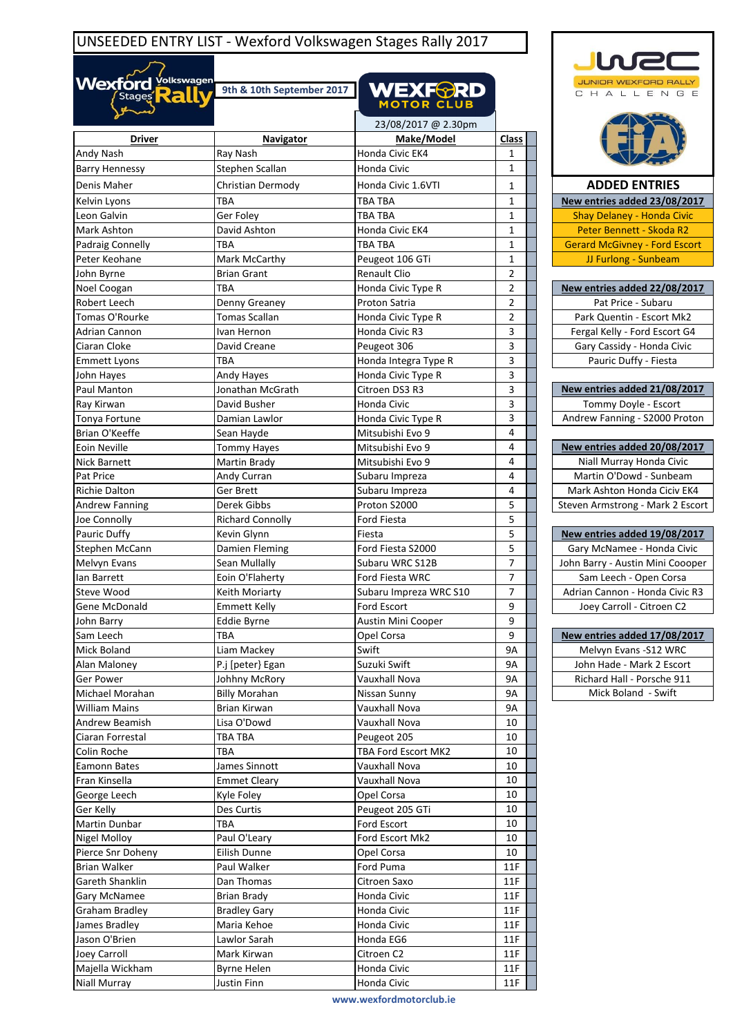## UNSEEDED ENTRY LIST - Wexford Volkswagen Stages Rally 2017

 $\sim$ 

| Wexford yourswagen                       | 9th & 10th September 2017   | <b>WEXF<del>@</del>RD</b><br><b>MOTOR CLUB</b> |                     |  |
|------------------------------------------|-----------------------------|------------------------------------------------|---------------------|--|
|                                          |                             | 23/08/2017 @ 2.30pm                            |                     |  |
| <b>Driver</b>                            | <b>Navigator</b>            | Make/Model                                     | <b>Class</b>        |  |
| Andy Nash                                | Ray Nash                    | Honda Civic EK4                                | 1                   |  |
| <b>Barry Hennessy</b>                    | Stephen Scallan             | Honda Civic                                    | 1                   |  |
| Denis Maher                              | Christian Dermody           | Honda Civic 1.6VTI                             |                     |  |
|                                          |                             |                                                | 1                   |  |
| Kelvin Lyons                             | TBA                         | <b>TBA TBA</b>                                 | 1                   |  |
| Leon Galvin                              | Ger Foley                   | <b>TBA TBA</b>                                 | $\mathbf{1}$        |  |
| Mark Ashton                              | David Ashton                | Honda Civic EK4                                | 1                   |  |
| Padraig Connelly                         | ТВА                         | <b>TBA TBA</b>                                 | 1<br>1              |  |
| Peter Keohane                            | Mark McCarthy               | Peugeot 106 GTi                                |                     |  |
| John Byrne                               | <b>Brian Grant</b>          | <b>Renault Clio</b>                            | 2<br>$\overline{2}$ |  |
| Noel Coogan                              | ТВА                         | Honda Civic Type R                             | $\overline{2}$      |  |
| Robert Leech                             | Denny Greaney               | Proton Satria                                  |                     |  |
| Tomas O'Rourke                           | Tomas Scallan               | Honda Civic Type R                             | 2                   |  |
| Adrian Cannon                            | Ivan Hernon                 | Honda Civic R3                                 | 3<br>3              |  |
| Ciaran Cloke                             | David Creane                | Peugeot 306                                    |                     |  |
| <b>Emmett Lyons</b>                      | TBA                         | Honda Integra Type R                           | 3                   |  |
| John Hayes                               | Andy Hayes                  | Honda Civic Type R                             | 3<br>3              |  |
| Paul Manton                              | Jonathan McGrath            | Citroen DS3 R3                                 |                     |  |
| Ray Kirwan                               | David Busher                | Honda Civic                                    | 3                   |  |
| Tonya Fortune                            | Damian Lawlor               | Honda Civic Type R                             | 3                   |  |
| Brian O'Keeffe                           | Sean Hayde                  | Mitsubishi Evo 9                               | 4                   |  |
| Eoin Neville                             | <b>Tommy Hayes</b>          | Mitsubishi Evo 9                               | 4                   |  |
| <b>Nick Barnett</b>                      | Martin Brady                | Mitsubishi Evo 9                               | 4                   |  |
| Pat Price                                | Andy Curran                 | Subaru Impreza                                 | 4                   |  |
| Richie Dalton                            | Ger Brett                   | Subaru Impreza                                 | 4                   |  |
| <b>Andrew Fanning</b>                    | Derek Gibbs                 | Proton S2000                                   | 5                   |  |
| Joe Connolly                             | <b>Richard Connolly</b>     | Ford Fiesta                                    | 5                   |  |
| Pauric Duffy                             | Kevin Glynn                 | Fiesta                                         | 5                   |  |
| Stephen McCann                           | Damien Fleming              | Ford Fiesta S2000                              | 5                   |  |
| Melvyn Evans                             | Sean Mullally               | Subaru WRC S12B                                | 7                   |  |
| lan Barrett                              | Eoin O'Flaherty             | Ford Fiesta WRC                                | 7                   |  |
| Steve Wood                               | Keith Moriarty              | Subaru Impreza WRC S10                         | 7                   |  |
| Gene McDonald                            | Emmett Kelly                | Ford Escort                                    | 9                   |  |
| John Barry                               | Eddie Byrne                 | Austin Mini Cooper                             | 9                   |  |
| Sam Leech                                | TBA                         | Opel Corsa                                     | 9                   |  |
| Mick Boland                              | Liam Mackey                 | Swift                                          | 9А                  |  |
| Alan Maloney                             | P.j [peter} Egan            | Suzuki Swift                                   | 9А                  |  |
| Ger Power                                | Johhny McRory               | Vauxhall Nova                                  | 9А                  |  |
| Michael Morahan                          | <b>Billy Morahan</b>        | Nissan Sunny                                   | 9А                  |  |
| <b>William Mains</b><br>Andrew Beamish   | Brian Kirwan<br>Lisa O'Dowd | Vauxhall Nova<br>Vauxhall Nova                 | 9А<br>10            |  |
|                                          |                             | Peugeot 205                                    | 10                  |  |
| Ciaran Forrestal                         | TBA TBA                     |                                                |                     |  |
| Colin Roche                              | TBA                         | TBA Ford Escort MK2                            | 10<br>10            |  |
| Eamonn Bates                             | James Sinnott               | Vauxhall Nova                                  |                     |  |
| Fran Kinsella                            | <b>Emmet Cleary</b>         | Vauxhall Nova                                  | 10                  |  |
| George Leech                             | Kyle Foley<br>Des Curtis    | Opel Corsa                                     | 10<br>10            |  |
| Ger Kelly                                |                             | Peugeot 205 GTi                                |                     |  |
| Martin Dunbar                            | TBA                         | Ford Escort                                    | 10                  |  |
| Nigel Molloy                             | Paul O'Leary                | Ford Escort Mk2                                | 10<br>10            |  |
| Pierce Snr Doheny<br><b>Brian Walker</b> | Eilish Dunne                | Opel Corsa                                     | 11F                 |  |
|                                          | Paul Walker                 | Ford Puma                                      | 11F                 |  |
| Gareth Shanklin                          | Dan Thomas                  | Citroen Saxo                                   |                     |  |
| Gary McNamee                             | <b>Brian Brady</b>          | Honda Civic                                    | 11F                 |  |
| Graham Bradley                           | <b>Bradley Gary</b>         | Honda Civic                                    | 11F                 |  |
| James Bradley                            | Maria Kehoe                 | Honda Civic                                    | 11F                 |  |
| Jason O'Brien                            | Lawlor Sarah                | Honda EG6                                      | 11F                 |  |
| Joey Carroll                             | Mark Kirwan                 | Citroen C2                                     | 11F                 |  |
| Majella Wickham                          | Byrne Helen                 | Honda Civic                                    | 11F                 |  |

Niall Murray **Night American** Justin Finn **Honda Civic Honda Civic** 11F



**www.wexfordmotorclub.ie**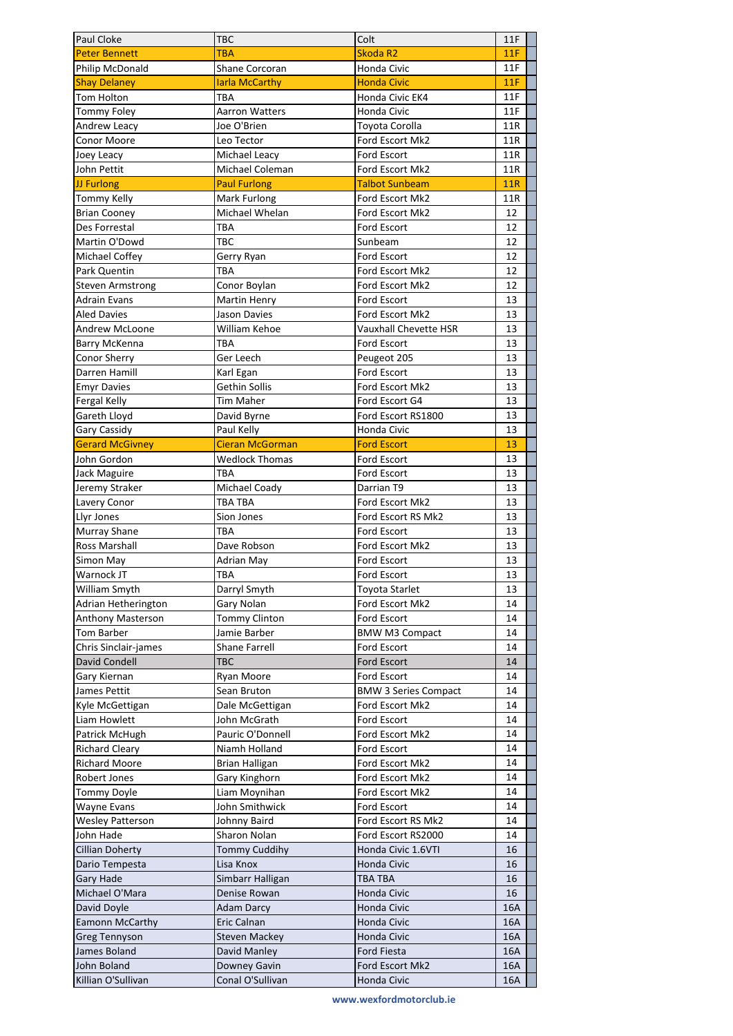| Paul Cloke               | <b>TBC</b>             | Colt                        | 11F        |
|--------------------------|------------------------|-----------------------------|------------|
| <b>Peter Bennett</b>     | <b>TBA</b>             | Skoda R2                    | 11F        |
| Philip McDonald          | <b>Shane Corcoran</b>  | Honda Civic                 | 11F        |
| <b>Shay Delaney</b>      | <b>larla McCarthy</b>  | <b>Honda Civic</b>          | 11F        |
| Tom Holton               | TBA                    | Honda Civic EK4             | 11F        |
| <b>Tommy Foley</b>       | Aarron Watters         | Honda Civic                 | 11F        |
| Andrew Leacy             | Joe O'Brien            | Toyota Corolla              | 11R        |
| Conor Moore              | Leo Tector             | Ford Escort Mk2             | 11R        |
| Joey Leacy               | Michael Leacy          | <b>Ford Escort</b>          | 11R        |
| John Pettit              | Michael Coleman        | Ford Escort Mk2             | 11R        |
| JJ Furlong               | <b>Paul Furlong</b>    | <b>Talbot Sunbeam</b>       | <b>11R</b> |
| <b>Tommy Kelly</b>       | Mark Furlong           | Ford Escort Mk2             | 11R        |
| <b>Brian Cooney</b>      | Michael Whelan         | Ford Escort Mk2             | 12         |
| Des Forrestal            | TBA                    | Ford Escort                 | 12         |
| Martin O'Dowd            | TBC                    | Sunbeam                     | 12         |
| Michael Coffey           | Gerry Ryan             | <b>Ford Escort</b>          | 12         |
| Park Quentin             | TBA                    | Ford Escort Mk2             | 12         |
| <b>Steven Armstrong</b>  | Conor Boylan           | Ford Escort Mk2             | 12         |
| <b>Adrain Evans</b>      | <b>Martin Henry</b>    | Ford Escort                 | 13         |
| <b>Aled Davies</b>       | Jason Davies           | Ford Escort Mk2             | 13         |
| Andrew McLoone           | William Kehoe          | Vauxhall Chevette HSR       | 13         |
| Barry McKenna            | TBA                    | <b>Ford Escort</b>          | 13         |
| Conor Sherry             | Ger Leech              | Peugeot 205                 | 13         |
| Darren Hamill            | Karl Egan              | <b>Ford Escort</b>          | 13         |
| <b>Emyr Davies</b>       | Gethin Sollis          | Ford Escort Mk2             | 13         |
| Fergal Kelly             | Tim Maher              | Ford Escort G4              | 13         |
| Gareth Lloyd             | David Byrne            | Ford Escort RS1800          | 13         |
| Gary Cassidy             | Paul Kelly             | Honda Civic                 | 13         |
| <b>Gerard McGivney</b>   | <b>Cieran McGorman</b> | <b>Ford Escort</b>          | 13         |
| John Gordon              | <b>Wedlock Thomas</b>  | Ford Escort                 | 13         |
| Jack Maguire             | TBA                    | Ford Escort                 | 13         |
| Jeremy Straker           | Michael Coady          | Darrian T9                  | 13         |
| Lavery Conor             | TBA TBA                | Ford Escort Mk2             | 13         |
| Llyr Jones               | Sion Jones             | Ford Escort RS Mk2          | 13         |
| Murray Shane             | TBA                    | <b>Ford Escort</b>          | 13         |
| Ross Marshall            | Dave Robson            | Ford Escort Mk2             | 13         |
| Simon May                | <b>Adrian May</b>      | Ford Escort                 | 13         |
| Warnock JT               | TBA                    | Ford Escort                 | 13         |
| William Smyth            | Darryl Smyth           | Toyota Starlet              | 13         |
| Adrian Hetherington      | Gary Nolan             | Ford Escort Mk2             | 14         |
| <b>Anthony Masterson</b> | <b>Tommy Clinton</b>   | Ford Escort                 | 14         |
| Tom Barber               | Jamie Barber           | <b>BMW M3 Compact</b>       | 14         |
| Chris Sinclair-james     | Shane Farrell          | <b>Ford Escort</b>          | 14         |
| David Condell            | TBC                    | <b>Ford Escort</b>          | 14         |
| Gary Kiernan             | Ryan Moore             | Ford Escort                 | 14         |
| James Pettit             | Sean Bruton            | <b>BMW 3 Series Compact</b> | 14         |
| Kyle McGettigan          | Dale McGettigan        | Ford Escort Mk2             | 14         |
| Liam Howlett             | John McGrath           | Ford Escort                 | 14         |
| Patrick McHugh           | Pauric O'Donnell       | Ford Escort Mk2             | 14         |
| Richard Cleary           | Niamh Holland          | Ford Escort                 | 14         |
| <b>Richard Moore</b>     | Brian Halligan         | Ford Escort Mk2             | 14         |
| Robert Jones             | Gary Kinghorn          | Ford Escort Mk2             | 14         |
| Tommy Doyle              | Liam Moynihan          | Ford Escort Mk2             | 14         |
| <b>Wayne Evans</b>       | John Smithwick         | Ford Escort                 | 14         |
| <b>Wesley Patterson</b>  | Johnny Baird           | Ford Escort RS Mk2          | 14         |
| John Hade                | Sharon Nolan           | Ford Escort RS2000          | 14         |
| <b>Cillian Doherty</b>   | <b>Tommy Cuddihy</b>   | Honda Civic 1.6VTI          | 16         |
| Dario Tempesta           | Lisa Knox              | Honda Civic                 | 16         |
| Gary Hade                | Simbarr Halligan       | <b>TBA TBA</b>              | 16         |
| Michael O'Mara           | Denise Rowan           | <b>Honda Civic</b>          | 16         |
| David Doyle              | <b>Adam Darcy</b>      | Honda Civic                 | 16A        |
| <b>Eamonn McCarthy</b>   | Eric Calnan            | Honda Civic                 | 16A        |
| <b>Greg Tennyson</b>     | <b>Steven Mackey</b>   | Honda Civic                 | 16A        |
| James Boland             | David Manley           | Ford Fiesta                 | 16A        |
| John Boland              | Downey Gavin           | Ford Escort Mk2             | 16A        |
| Killian O'Sullivan       | Conal O'Sullivan       | Honda Civic                 | 16A        |

**www.wexfordmotorclub.ie**